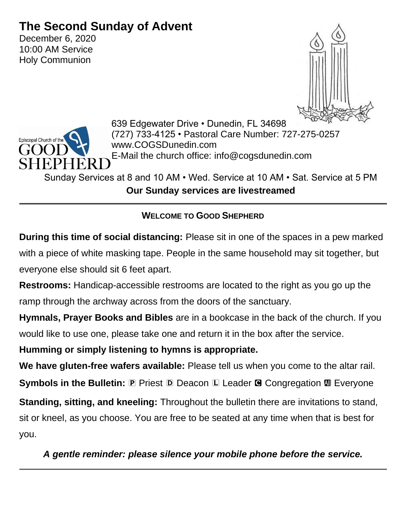# **The Second Sunday of Advent**

December 6, 2020 10:00 AM Service Holy Communion





639 Edgewater Drive • Dunedin, FL 34698 (727) 733-4125 • Pastoral Care Number: 727-275-0257 www.COGSDunedin.com E-Mail the church office: info@cogsdunedin.com

Sunday Services at 8 and 10 AM • Wed. Service at 10 AM • Sat. Service at 5 PM **Our Sunday services are livestreamed**

## **WELCOME TO GOOD SHEPHERD**

**During this time of social distancing:** Please sit in one of the spaces in a pew marked with a piece of white masking tape. People in the same household may sit together, but everyone else should sit 6 feet apart.

**Restrooms:** Handicap-accessible restrooms are located to the right as you go up the ramp through the archway across from the doors of the sanctuary.

**Hymnals, Prayer Books and Bibles** are in a bookcase in the back of the church. If you would like to use one, please take one and return it in the box after the service.

**Humming or simply listening to hymns is appropriate.**

**We have gluten-free wafers available:** Please tell us when you come to the altar rail. **Symbols in the Bulletin: P Priest D Deacon L Leader <b>G** Congregation **M** Everyone

**Standing, sitting, and kneeling:** Throughout the bulletin there are invitations to stand, sit or kneel, as you choose. You are free to be seated at any time when that is best for you.

*A gentle reminder: please silence your mobile phone before the service.*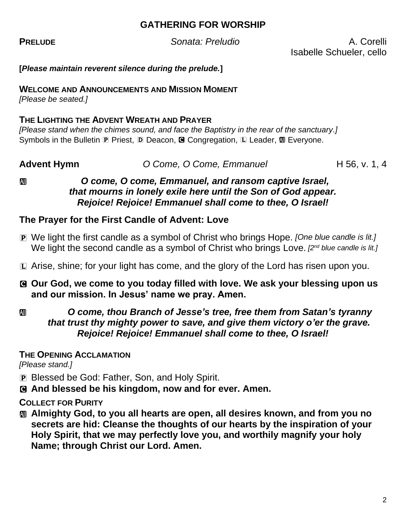## **GATHERING FOR WORSHIP**

**PRELUDE** *Sonata: Preludio* A. Corelli

Isabelle Schueler, cello

**[***Please maintain reverent silence during the prelude.***]**

#### **WELCOME AND ANNOUNCEMENTS AND MISSION MOMENT**

*[Please be seated.]*

#### **THE LIGHTING THE ADVENT WREATH AND PRAYER**

*[Please stand when the chimes sound, and face the Baptistry in the rear of the sanctuary.]* Symbols in the Bulletin P Priest, D Deacon, **G** Congregation, L Leader, **M** Everyone.

#### **Advent Hymn** *O Come, O Come, Emmanuel* **H 56, v. 1, 4**

#### a *O come, O come, Emmanuel, and ransom captive Israel, that mourns in lonely exile here until the Son of God appear. Rejoice! Rejoice! Emmanuel shall come to thee, O Israel!*

## **The Prayer for the First Candle of Advent: Love**

- P We light the first candle as a symbol of Christ who brings Hope. *[One blue candle is lit.]* We light the second candle as a symbol of Christ who brings Love. *[2<sup>nd</sup> blue candle is lit.]*
- L Arise, shine; for your light has come, and the glory of the Lord has risen upon you.
- C **Our God, we come to you today filled with love. We ask your blessing upon us and our mission. In Jesus' name we pray. Amen.**

## *C O* come, thou Branch of Jesse's tree, free them from Satan's tyranny *that trust thy mighty power to save, and give them victory o'er the grave. Rejoice! Rejoice! Emmanuel shall come to thee, O Israel!*

## **THE OPENING ACCLAMATION**

*[Please stand.]*

- P Blessed be God: Father, Son, and Holy Spirit.
- C **And blessed be his kingdom, now and for ever. Amen.**

## **COLLECT FOR PURITY**

a **Almighty God, to you all hearts are open, all desires known, and from you no secrets are hid: Cleanse the thoughts of our hearts by the inspiration of your Holy Spirit, that we may perfectly love you, and worthily magnify your holy Name; through Christ our Lord. Amen.**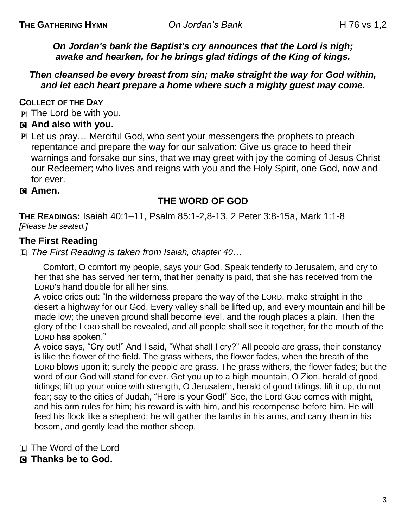*On Jordan's bank the Baptist's cry announces that the Lord is nigh; awake and hearken, for he brings glad tidings of the King of kings.*

#### *Then cleansed be every breast from sin; make straight the way for God within, and let each heart prepare a home where such a mighty guest may come.*

**COLLECT OF THE DAY**

- P The Lord be with you.
- C **And also with you.**
- P Let us pray… Merciful God, who sent your messengers the prophets to preach repentance and prepare the way for our salvation: Give us grace to heed their warnings and forsake our sins, that we may greet with joy the coming of Jesus Christ our Redeemer; who lives and reigns with you and the Holy Spirit, one God, now and for ever.
- C **Amen.**

## **THE WORD OF GOD**

**THE READINGS:** Isaiah 40:1–11, Psalm 85:1-2,8-13, 2 Peter 3:8-15a, Mark 1:1-8 *[Please be seated.]*

## **The First Reading**

L *The First Reading is taken from Isaiah, chapter 40…*

Comfort, O comfort my people, says your God. Speak tenderly to Jerusalem, and cry to her that she has served her term, that her penalty is paid, that she has received from the LORD's hand double for all her sins.

A voice cries out: "In the wilderness prepare the way of the LORD, make straight in the desert a highway for our God. Every valley shall be lifted up, and every mountain and hill be made low; the uneven ground shall become level, and the rough places a plain. Then the glory of the LORD shall be revealed, and all people shall see it together, for the mouth of the LORD has spoken."

A voice says, "Cry out!" And I said, "What shall I cry?" All people are grass, their constancy is like the flower of the field. The grass withers, the flower fades, when the breath of the LORD blows upon it; surely the people are grass. The grass withers, the flower fades; but the word of our God will stand for ever. Get you up to a high mountain, O Zion, herald of good tidings; lift up your voice with strength, O Jerusalem, herald of good tidings, lift it up, do not fear; say to the cities of Judah, "Here is your God!" See, the Lord GOD comes with might, and his arm rules for him; his reward is with him, and his recompense before him. He will feed his flock like a shepherd; he will gather the lambs in his arms, and carry them in his bosom, and gently lead the mother sheep.

- L The Word of the Lord
- C **Thanks be to God.**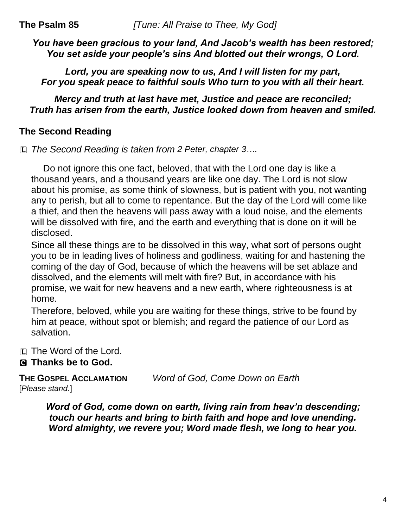*You have been gracious to your land, And Jacob's wealth has been restored; You set aside your people's sins And blotted out their wrongs, O Lord.*

*Lord, you are speaking now to us, And I will listen for my part, For you speak peace to faithful souls Who turn to you with all their heart.*

*Mercy and truth at last have met, Justice and peace are reconciled; Truth has arisen from the earth, Justice looked down from heaven and smiled.*

## **The Second Reading**

L *The Second Reading is taken from 2 Peter, chapter 3….*

Do not ignore this one fact, beloved, that with the Lord one day is like a thousand years, and a thousand years are like one day. The Lord is not slow about his promise, as some think of slowness, but is patient with you, not wanting any to perish, but all to come to repentance. But the day of the Lord will come like a thief, and then the heavens will pass away with a loud noise, and the elements will be dissolved with fire, and the earth and everything that is done on it will be disclosed.

Since all these things are to be dissolved in this way, what sort of persons ought you to be in leading lives of holiness and godliness, waiting for and hastening the coming of the day of God, because of which the heavens will be set ablaze and dissolved, and the elements will melt with fire? But, in accordance with his promise, we wait for new heavens and a new earth, where righteousness is at home.

Therefore, beloved, while you are waiting for these things, strive to be found by him at peace, without spot or blemish; and regard the patience of our Lord as salvation.

L The Word of the Lord.

## C **Thanks be to God.**

**THE GOSPEL ACCLAMATION** *Word of God, Come Down on Earth* [*Please stand.*]

*Word of God, come down on earth, living rain from heav'n descending; touch our hearts and bring to birth faith and hope and love unending. Word almighty, we revere you; Word made flesh, we long to hear you.*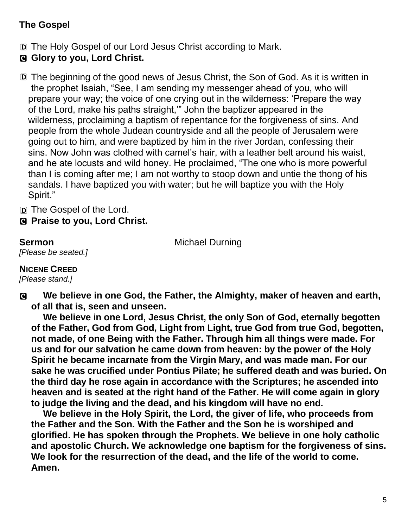## **The Gospel**

- D The Holy Gospel of our Lord Jesus Christ according to Mark.
- C **Glory to you, Lord Christ.**
- D The beginning of the good news of Jesus Christ, the Son of God. As it is written in the prophet Isaiah, "See, I am sending my messenger ahead of you, who will prepare your way; the voice of one crying out in the wilderness: 'Prepare the way of the Lord, make his paths straight,'" John the baptizer appeared in the wilderness, proclaiming a baptism of repentance for the forgiveness of sins. And people from the whole Judean countryside and all the people of Jerusalem were going out to him, and were baptized by him in the river Jordan, confessing their sins. Now John was clothed with camel's hair, with a leather belt around his waist, and he ate locusts and wild honey. He proclaimed, "The one who is more powerful than I is coming after me; I am not worthy to stoop down and untie the thong of his sandals. I have baptized you with water; but he will baptize you with the Holy Spirit."

D The Gospel of the Lord.

C **Praise to you, Lord Christ.**

**Sermon** Michael Durning

*[Please be seated.]*

**NICENE CREED**

*[Please stand.]*

C **We believe in one God, the Father, the Almighty, maker of heaven and earth, of all that is, seen and unseen.**

**We believe in one Lord, Jesus Christ, the only Son of God, eternally begotten of the Father, God from God, Light from Light, true God from true God, begotten, not made, of one Being with the Father. Through him all things were made. For us and for our salvation he came down from heaven: by the power of the Holy Spirit he became incarnate from the Virgin Mary, and was made man. For our sake he was crucified under Pontius Pilate; he suffered death and was buried. On the third day he rose again in accordance with the Scriptures; he ascended into heaven and is seated at the right hand of the Father. He will come again in glory to judge the living and the dead, and his kingdom will have no end.**

**We believe in the Holy Spirit, the Lord, the giver of life, who proceeds from the Father and the Son. With the Father and the Son he is worshiped and glorified. He has spoken through the Prophets. We believe in one holy catholic and apostolic Church. We acknowledge one baptism for the forgiveness of sins. We look for the resurrection of the dead, and the life of the world to come. Amen.**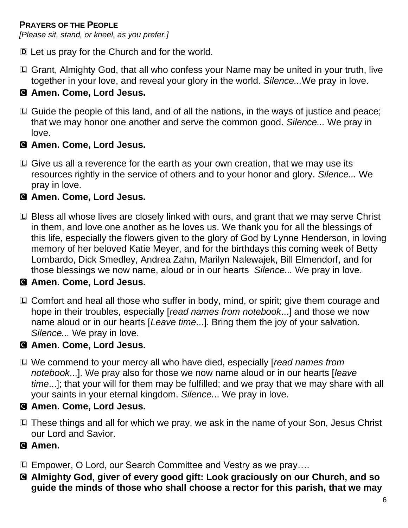## **PRAYERS OF THE PEOPLE**

*[Please sit, stand, or kneel, as you prefer.]*

- D Let us pray for the Church and for the world.
- L Grant, Almighty God, that all who confess your Name may be united in your truth, live together in your love, and reveal your glory in the world. *Silence...*We pray in love.

## C **Amen. Come, Lord Jesus.**

L Guide the people of this land, and of all the nations, in the ways of justice and peace; that we may honor one another and serve the common good. *Silence...* We pray in love.

## C **Amen. Come, Lord Jesus.**

L Give us all a reverence for the earth as your own creation, that we may use its resources rightly in the service of others and to your honor and glory. *Silence...* We pray in love.

## C **Amen. Come, Lord Jesus.**

L Bless all whose lives are closely linked with ours, and grant that we may serve Christ in them, and love one another as he loves us. We thank you for all the blessings of this life, especially the flowers given to the glory of God by Lynne Henderson, in loving memory of her beloved Katie Meyer, and for the birthdays this coming week of Betty Lombardo, Dick Smedley, Andrea Zahn, Marilyn Nalewajek, Bill Elmendorf, and for those blessings we now name, aloud or in our hearts *Silence...* We pray in love.

#### C **Amen. Come, Lord Jesus.**

L Comfort and heal all those who suffer in body, mind, or spirit; give them courage and hope in their troubles, especially [*read names from notebook*...] and those we now name aloud or in our hearts [*Leave time*...]. Bring them the joy of your salvation. *Silence...* We pray in love.

## C **Amen. Come, Lord Jesus.**

L We commend to your mercy all who have died, especially [*read names from notebook*...]. We pray also for those we now name aloud or in our hearts [*leave time*...]; that your will for them may be fulfilled; and we pray that we may share with all your saints in your eternal kingdom. *Silence.*.. We pray in love.

## C **Amen. Come, Lord Jesus.**

L These things and all for which we pray, we ask in the name of your Son, Jesus Christ our Lord and Savior.

#### C **Amen.**

- L Empower, O Lord, our Search Committee and Vestry as we pray….
- C **Almighty God, giver of every good gift: Look graciously on our Church, and so guide the minds of those who shall choose a rector for this parish, that we may**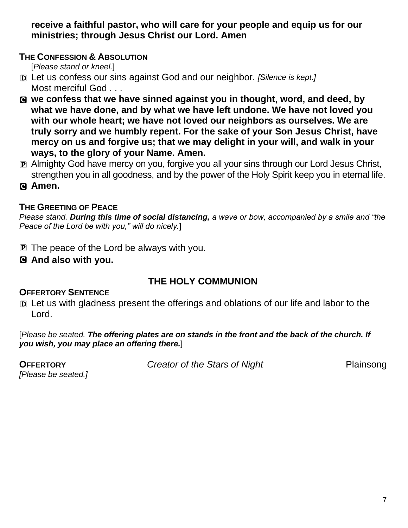**receive a faithful pastor, who will care for your people and equip us for our ministries; through Jesus Christ our Lord. Amen**

#### **THE CONFESSION & ABSOLUTION**

[*Please stand or kneel.*]

- D Let us confess our sins against God and our neighbor. *[Silence is kept.]* Most merciful God . . .
- C **we confess that we have sinned against you in thought, word, and deed, by what we have done, and by what we have left undone. We have not loved you with our whole heart; we have not loved our neighbors as ourselves. We are truly sorry and we humbly repent. For the sake of your Son Jesus Christ, have mercy on us and forgive us; that we may delight in your will, and walk in your ways, to the glory of your Name. Amen.**
- P Almighty God have mercy on you, forgive you all your sins through our Lord Jesus Christ, strengthen you in all goodness, and by the power of the Holy Spirit keep you in eternal life.
- C **Amen.**

## **THE GREETING OF PEACE**

*Please stand. During this time of social distancing, a wave or bow, accompanied by a smile and "the Peace of the Lord be with you," will do nicely.*]

- P The peace of the Lord be always with you.
- C **And also with you.**

## **THE HOLY COMMUNION**

## **OFFERTORY SENTENCE**

D Let us with gladness present the offerings and oblations of our life and labor to the Lord.

[*Please be seated. The offering plates are on stands in the front and the back of the church. If you wish, you may place an offering there.*]

*[Please be seated.]* 

**OFFERTORY** *Creator of the Stars of Night* Plainsong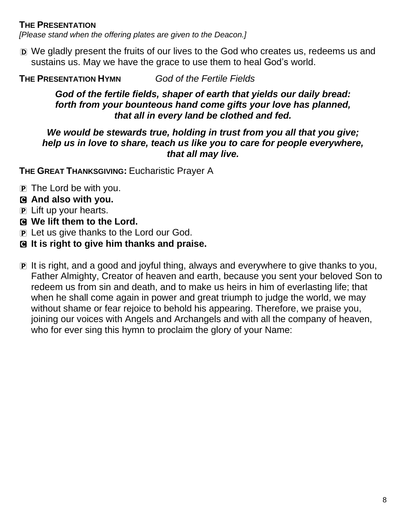#### **THE PRESENTATION**

*[Please stand when the offering plates are given to the Deacon.]*

D We gladly present the fruits of our lives to the God who creates us, redeems us and sustains us. May we have the grace to use them to heal God's world.

**THE PRESENTATION HYMN** *God of the Fertile Fields*

#### *God of the fertile fields, shaper of earth that yields our daily bread: forth from your bounteous hand come gifts your love has planned, that all in every land be clothed and fed.*

#### *We would be stewards true, holding in trust from you all that you give; help us in love to share, teach us like you to care for people everywhere, that all may live.*

**THE GREAT THANKSGIVING:** Eucharistic Prayer A

- P The Lord be with you.
- C **And also with you.**
- P Lift up your hearts.
- C **We lift them to the Lord.**
- P Let us give thanks to the Lord our God.
- C **It is right to give him thanks and praise.**
- P It is right, and a good and joyful thing, always and everywhere to give thanks to you, Father Almighty, Creator of heaven and earth, because you sent your beloved Son to redeem us from sin and death, and to make us heirs in him of everlasting life; that when he shall come again in power and great triumph to judge the world, we may without shame or fear rejoice to behold his appearing. Therefore, we praise you, joining our voices with Angels and Archangels and with all the company of heaven, who for ever sing this hymn to proclaim the glory of your Name: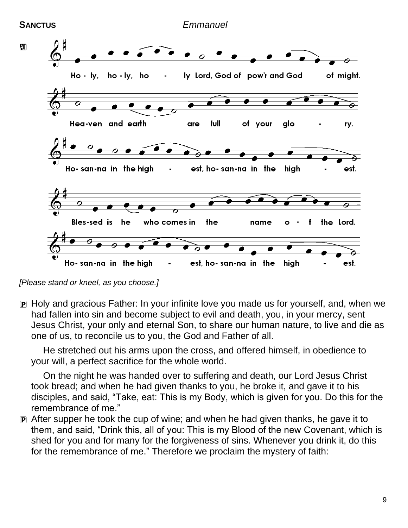

*[Please stand or kneel, as you choose.]*

P Holy and gracious Father: In your infinite love you made us for yourself, and, when we had fallen into sin and become subject to evil and death, you, in your mercy, sent Jesus Christ, your only and eternal Son, to share our human nature, to live and die as one of us, to reconcile us to you, the God and Father of all.

He stretched out his arms upon the cross, and offered himself, in obedience to your will, a perfect sacrifice for the whole world.

On the night he was handed over to suffering and death, our Lord Jesus Christ took bread; and when he had given thanks to you, he broke it, and gave it to his disciples, and said, "Take, eat: This is my Body, which is given for you. Do this for the remembrance of me."

P After supper he took the cup of wine; and when he had given thanks, he gave it to them, and said, "Drink this, all of you: This is my Blood of the new Covenant, which is shed for you and for many for the forgiveness of sins. Whenever you drink it, do this for the remembrance of me." Therefore we proclaim the mystery of faith: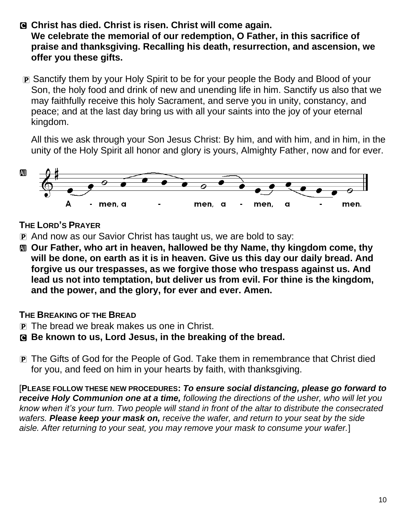- C **Christ has died. Christ is risen. Christ will come again. We celebrate the memorial of our redemption, O Father, in this sacrifice of praise and thanksgiving. Recalling his death, resurrection, and ascension, we offer you these gifts.**
- P Sanctify them by your Holy Spirit to be for your people the Body and Blood of your Son, the holy food and drink of new and unending life in him. Sanctify us also that we may faithfully receive this holy Sacrament, and serve you in unity, constancy, and peace; and at the last day bring us with all your saints into the joy of your eternal kingdom.

All this we ask through your Son Jesus Christ: By him, and with him, and in him, in the unity of the Holy Spirit all honor and glory is yours, Almighty Father, now and for ever.



## **THE LORD'S PRAYER**

- P And now as our Savior Christ has taught us, we are bold to say:
- a **Our Father, who art in heaven, hallowed be thy Name, thy kingdom come, thy will be done, on earth as it is in heaven. Give us this day our daily bread. And forgive us our trespasses, as we forgive those who trespass against us. And lead us not into temptation, but deliver us from evil. For thine is the kingdom, and the power, and the glory, for ever and ever. Amen.**

## **THE BREAKING OF THE BREAD**

- P The bread we break makes us one in Christ.
- C **Be known to us, Lord Jesus, in the breaking of the bread.**
- P The Gifts of God for the People of God. Take them in remembrance that Christ died for you, and feed on him in your hearts by faith, with thanksgiving.

[**PLEASE FOLLOW THESE NEW PROCEDURES:** *To ensure social distancing, please go forward to receive Holy Communion one at a time, following the directions of the usher, who will let you know when it's your turn. Two people will stand in front of the altar to distribute the consecrated wafers. Please keep your mask on, receive the wafer, and return to your seat by the side aisle. After returning to your seat, you may remove your mask to consume your wafer.*]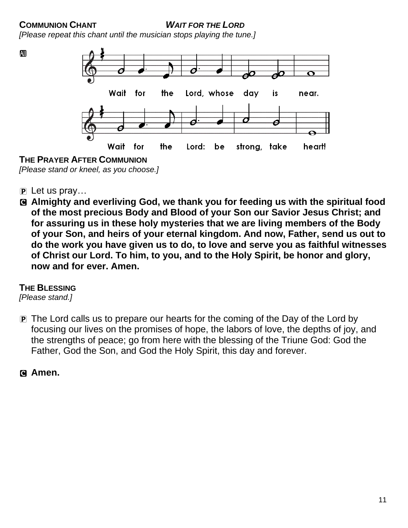**COMMUNION CHANT** *WAIT FOR THE LORD*

*[Please repeat this chant until the musician stops playing the tune.]*



*[Please stand or kneel, as you choose.]*

- 
- $\overline{P}$  Let us pray...
- C **Almighty and everliving God, we thank you for feeding us with the spiritual food of the most precious Body and Blood of your Son our Savior Jesus Christ; and for assuring us in these holy mysteries that we are living members of the Body of your Son, and heirs of your eternal kingdom. And now, Father, send us out to do the work you have given us to do, to love and serve you as faithful witnesses of Christ our Lord. To him, to you, and to the Holy Spirit, be honor and glory, now and for ever. Amen.**

#### **THE BLESSING**

*[Please stand.]*

P The Lord calls us to prepare our hearts for the coming of the Day of the Lord by focusing our lives on the promises of hope, the labors of love, the depths of joy, and the strengths of peace; go from here with the blessing of the Triune God: God the Father, God the Son, and God the Holy Spirit, this day and forever.

#### C **Amen.**